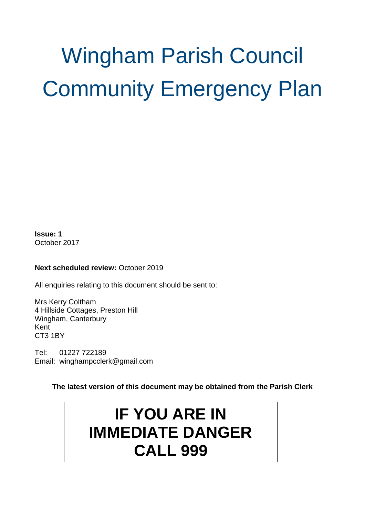# Wingham Parish Council Community Emergency Plan

**Issue: 1** October 2017

#### **Next scheduled review: October 2019**

All enquiries relating to this document should be sent to:

Mrs Kerry Coltham 4 Hillside Cottages, Preston Hill Wingham, Canterbury Kent CT3 1BY

Tel: 01227 722189 Email: winghampcclerk@gmail.com

**The latest version of this document may be obtained from the Parish Clerk**

# **IF YOU ARE IN IMMEDIATE DANGER CALL 999**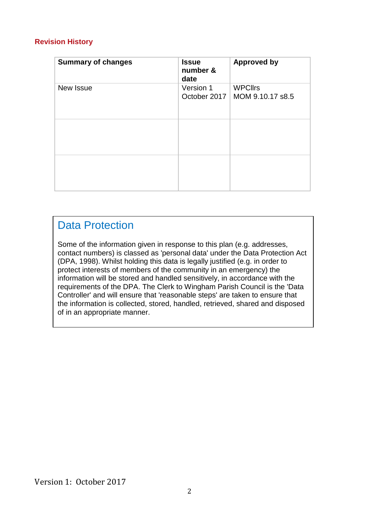#### **Revision History**

| <b>Summary of changes</b> | <b>Issue</b><br>number &<br>date | <b>Approved by</b>                 |
|---------------------------|----------------------------------|------------------------------------|
| New Issue                 | Version 1<br>October 2017        | <b>WPCllrs</b><br>MOM 9.10.17 s8.5 |
|                           |                                  |                                    |
|                           |                                  |                                    |

## Data Protection

Some of the information given in response to this plan (e.g. addresses, contact numbers) is classed as 'personal data' under the Data Protection Act (DPA, 1998). Whilst holding this data is legally justified (e.g. in order to protect interests of members of the community in an emergency) the information will be stored and handled sensitively, in accordance with the requirements of the DPA. The Clerk to Wingham Parish Council is the 'Data Controller' and will ensure that 'reasonable steps' are taken to ensure that the information is collected, stored, handled, retrieved, shared and disposed of in an appropriate manner.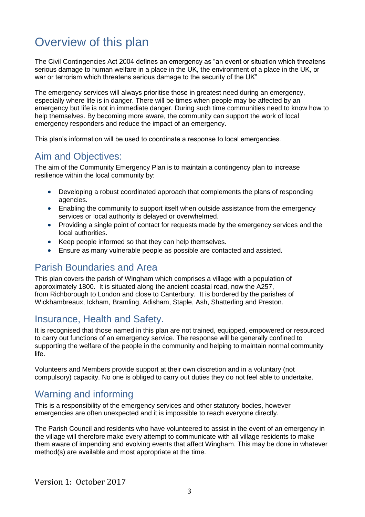## Overview of this plan

The Civil Contingencies Act 2004 defines an emergency as "an event or situation which threatens serious damage to human welfare in a place in the UK, the environment of a place in the UK, or war or terrorism which threatens serious damage to the security of the UK"

The emergency services will always prioritise those in greatest need during an emergency, especially where life is in danger. There will be times when people may be affected by an emergency but life is not in immediate danger. During such time communities need to know how to help themselves. By becoming more aware, the community can support the work of local emergency responders and reduce the impact of an emergency.

This plan's information will be used to coordinate a response to local emergencies.

## Aim and Objectives:

The aim of the Community Emergency Plan is to maintain a contingency plan to increase resilience within the local community by:

- Developing a robust coordinated approach that complements the plans of responding agencies.
- Enabling the community to support itself when outside assistance from the emergency services or local authority is delayed or overwhelmed.
- Providing a single point of contact for requests made by the emergency services and the local authorities.
- Keep people informed so that they can help themselves.
- Ensure as many vulnerable people as possible are contacted and assisted.

## Parish Boundaries and Area

This plan covers the parish of Wingham which comprises a village with a population of approximately 1800. It is situated along the ancient coastal road, now the A257, from [Richborough](http://en.wikipedia.org/wiki/Richborough) to [London](http://en.wikipedia.org/wiki/London) and close to [Canterbury.](http://en.wikipedia.org/wiki/Canterbury) It is bordered by the parishes of Wickhambreaux, Ickham, Bramling, Adisham, Staple, Ash, Shatterling and Preston.

## Insurance, Health and Safety.

It is recognised that those named in this plan are not trained, equipped, empowered or resourced to carry out functions of an emergency service. The response will be generally confined to supporting the welfare of the people in the community and helping to maintain normal community life.

Volunteers and Members provide support at their own discretion and in a voluntary (not compulsory) capacity. No one is obliged to carry out duties they do not feel able to undertake.

## Warning and informing

This is a responsibility of the emergency services and other statutory bodies, however emergencies are often unexpected and it is impossible to reach everyone directly.

The Parish Council and residents who have volunteered to assist in the event of an emergency in the village will therefore make every attempt to communicate with all village residents to make them aware of impending and evolving events that affect Wingham. This may be done in whatever method(s) are available and most appropriate at the time.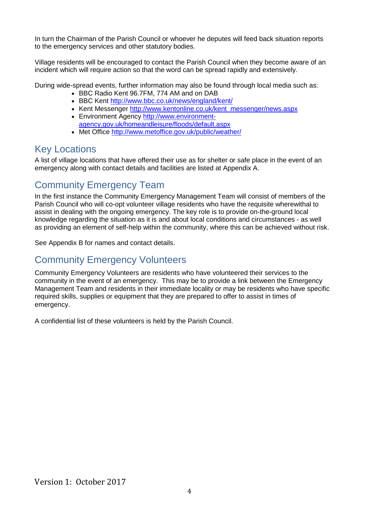In turn the Chairman of the Parish Council or whoever he deputes will feed back situation reports to the emergency services and other statutory bodies.

Village residents will be encouraged to contact the Parish Council when they become aware of an incident which will require action so that the word can be spread rapidly and extensively.

During wide-spread events, further information may also be found through local media such as:

- BBC Radio Kent 96.7FM, 774 AM and on DAB
- BBC Kent<http://www.bbc.co.uk/news/england/kent/>
- Kent Messenger [http://www.kentonline.co.uk/kent\\_messenger/news.aspx](http://www.kentonline.co.uk/kent_messenger/news.aspx)
- Environment Agency [http://www.environment](http://www.environment-agency.gov.uk/homeandleisure/floods/default.aspx)[agency.gov.uk/homeandleisure/floods/default.aspx](http://www.environment-agency.gov.uk/homeandleisure/floods/default.aspx)
- Met Office<http://www.metoffice.gov.uk/public/weather/>

## Key Locations

A list of village locations that have offered their use as for shelter or safe place in the event of an emergency along with contact details and facilities are listed at Appendix A.

## Community Emergency Team

In the first instance the Community Emergency Management Team will consist of members of the Parish Council who will co-opt volunteer village residents who have the requisite wherewithal to assist in dealing with the ongoing emergency. The key role is to provide on-the-ground local knowledge regarding the situation as it is and about local conditions and circumstances - as well as providing an element of self-help within the community, where this can be achieved without risk.

See Appendix B for names and contact details.

## Community Emergency Volunteers

Community Emergency Volunteers are residents who have volunteered their services to the community in the event of an emergency. This may be to provide a link between the Emergency Management Team and residents in their immediate locality or may be residents who have specific required skills, supplies or equipment that they are prepared to offer to assist in times of emergency.

A confidential list of these volunteers is held by the Parish Council.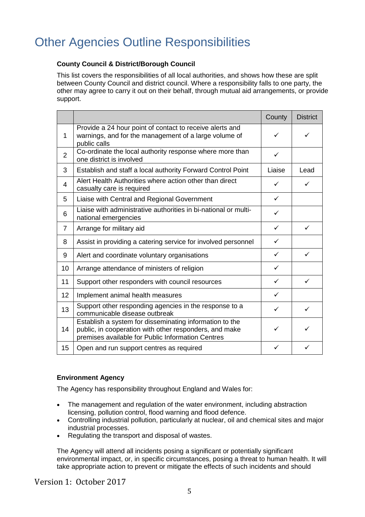# Other Agencies Outline Responsibilities

#### **County Council & District/Borough Council**

This list covers the responsibilities of all local authorities, and shows how these are split between County Council and district council. Where a responsibility falls to one party, the other may agree to carry it out on their behalf, through mutual aid arrangements, or provide support.

|                |                                                                                                                                                                        | County       | <b>District</b> |
|----------------|------------------------------------------------------------------------------------------------------------------------------------------------------------------------|--------------|-----------------|
| 1              | Provide a 24 hour point of contact to receive alerts and<br>warnings, and for the management of a large volume of<br>public calls                                      | ✓            | ✓               |
| $\overline{2}$ | Co-ordinate the local authority response where more than<br>one district is involved                                                                                   | ✓            |                 |
| 3              | Establish and staff a local authority Forward Control Point                                                                                                            | Liaise       | Lead            |
| 4              | Alert Health Authorities where action other than direct<br>casualty care is required                                                                                   | ✓            | ✓               |
| 5              | Liaise with Central and Regional Government                                                                                                                            | ✓            |                 |
| 6              | Liaise with administrative authorities in bi-national or multi-<br>national emergencies                                                                                | ✓            |                 |
| 7              | Arrange for military aid                                                                                                                                               | $\checkmark$ | $\checkmark$    |
| 8              | Assist in providing a catering service for involved personnel                                                                                                          | $\checkmark$ |                 |
| 9              | Alert and coordinate voluntary organisations                                                                                                                           | $\checkmark$ | $\checkmark$    |
| 10             | Arrange attendance of ministers of religion                                                                                                                            | ✓            |                 |
| 11             | Support other responders with council resources                                                                                                                        | $\checkmark$ | ✓               |
| 12             | Implement animal health measures                                                                                                                                       | $\checkmark$ |                 |
| 13             | Support other responding agencies in the response to a<br>communicable disease outbreak                                                                                | ✓            | ✓               |
| 14             | Establish a system for disseminating information to the<br>public, in cooperation with other responders, and make<br>premises available for Public Information Centres | ✓            | ✓               |
| 15             | Open and run support centres as required                                                                                                                               | ✓            | ✓               |

#### **Environment Agency**

The Agency has responsibility throughout England and Wales for:

- The management and regulation of the water environment, including abstraction licensing, pollution control, flood warning and flood defence.
- Controlling industrial pollution, particularly at nuclear, oil and chemical sites and major industrial processes.
- Regulating the transport and disposal of wastes.

The Agency will attend all incidents posing a significant or potentially significant environmental impact, or, in specific circumstances, posing a threat to human health. It will take appropriate action to prevent or mitigate the effects of such incidents and should

Version 1: October 2017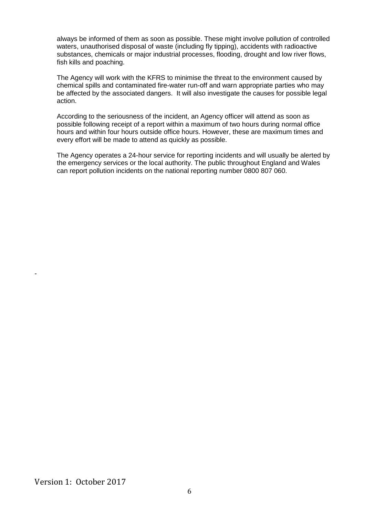always be informed of them as soon as possible. These might involve pollution of controlled waters, unauthorised disposal of waste (including fly tipping), accidents with radioactive substances, chemicals or major industrial processes, flooding, drought and low river flows, fish kills and poaching.

The Agency will work with the KFRS to minimise the threat to the environment caused by chemical spills and contaminated fire-water run-off and warn appropriate parties who may be affected by the associated dangers. It will also investigate the causes for possible legal action.

According to the seriousness of the incident, an Agency officer will attend as soon as possible following receipt of a report within a maximum of two hours during normal office hours and within four hours outside office hours. However, these are maximum times and every effort will be made to attend as quickly as possible.

The Agency operates a 24-hour service for reporting incidents and will usually be alerted by the emergency services or the local authority. The public throughout England and Wales can report pollution incidents on the national reporting number 0800 807 060.

-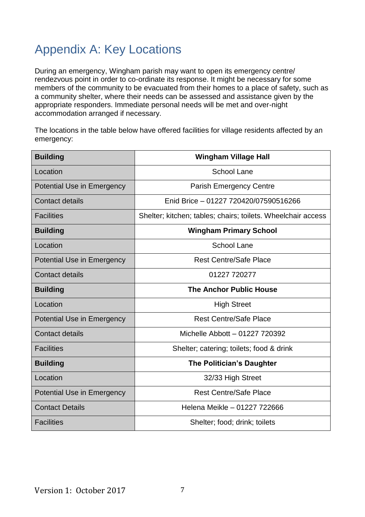# Appendix A: Key Locations

During an emergency, Wingham parish may want to open its emergency centre/ rendezvous point in order to co-ordinate its response. It might be necessary for some members of the community to be evacuated from their homes to a place of safety, such as a community shelter, where their needs can be assessed and assistance given by the appropriate responders. Immediate personal needs will be met and over-night accommodation arranged if necessary.

The locations in the table below have offered facilities for village residents affected by an emergency:

| <b>Building</b>                   | <b>Wingham Village Hall</b>                                  |  |
|-----------------------------------|--------------------------------------------------------------|--|
| Location                          | School Lane                                                  |  |
| <b>Potential Use in Emergency</b> | <b>Parish Emergency Centre</b>                               |  |
| <b>Contact details</b>            | Enid Brice - 01227 720420/07590516266                        |  |
| <b>Facilities</b>                 | Shelter; kitchen; tables; chairs; toilets. Wheelchair access |  |
| <b>Building</b>                   | <b>Wingham Primary School</b>                                |  |
| Location                          | <b>School Lane</b>                                           |  |
| <b>Potential Use in Emergency</b> | <b>Rest Centre/Safe Place</b>                                |  |
| <b>Contact details</b>            | 01227 720277                                                 |  |
| <b>Building</b>                   | <b>The Anchor Public House</b>                               |  |
| Location                          | <b>High Street</b>                                           |  |
| <b>Potential Use in Emergency</b> | <b>Rest Centre/Safe Place</b>                                |  |
| <b>Contact details</b>            | Michelle Abbott - 01227 720392                               |  |
| <b>Facilities</b>                 | Shelter; catering; toilets; food & drink                     |  |
| <b>Building</b>                   | The Politician's Daughter                                    |  |
| Location                          | 32/33 High Street                                            |  |
| <b>Potential Use in Emergency</b> | <b>Rest Centre/Safe Place</b>                                |  |
| <b>Contact Details</b>            | Helena Meikle - 01227 722666                                 |  |
| <b>Facilities</b>                 | Shelter; food; drink; toilets                                |  |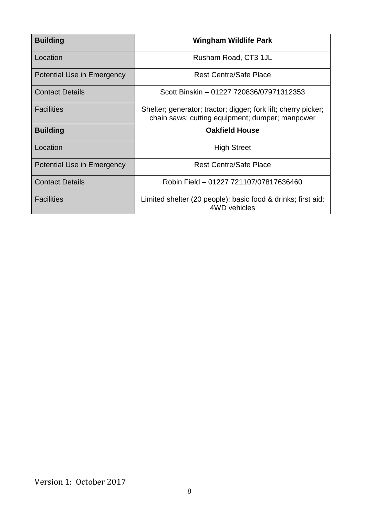| <b>Building</b>                   | <b>Wingham Wildlife Park</b>                                                                                      |  |
|-----------------------------------|-------------------------------------------------------------------------------------------------------------------|--|
| Location                          | Rusham Road, CT3 1JL                                                                                              |  |
| Potential Use in Emergency        | <b>Rest Centre/Safe Place</b>                                                                                     |  |
| <b>Contact Details</b>            | Scott Binskin - 01227 720836/07971312353                                                                          |  |
| <b>Facilities</b>                 | Shelter; generator; tractor; digger; fork lift; cherry picker;<br>chain saws; cutting equipment; dumper; manpower |  |
| <b>Building</b>                   | <b>Oakfield House</b>                                                                                             |  |
| Location                          | <b>High Street</b>                                                                                                |  |
| <b>Potential Use in Emergency</b> | <b>Rest Centre/Safe Place</b>                                                                                     |  |
| <b>Contact Details</b>            | Robin Field - 01227 721107/07817636460                                                                            |  |
| <b>Facilities</b>                 | Limited shelter (20 people); basic food & drinks; first aid;<br>4WD vehicles                                      |  |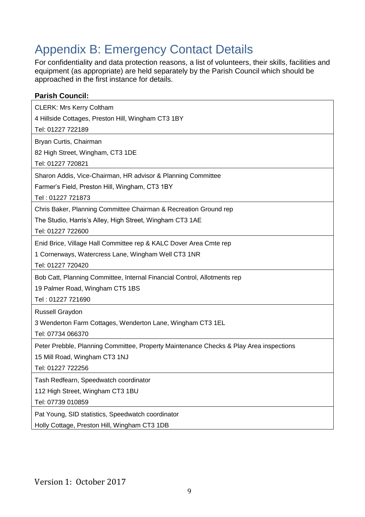# Appendix B: Emergency Contact Details

For confidentiality and data protection reasons, a list of volunteers, their skills, facilities and equipment (as appropriate) are held separately by the Parish Council which should be approached in the first instance for details.

| <b>Parish Council:</b>                                                                 |
|----------------------------------------------------------------------------------------|
| <b>CLERK: Mrs Kerry Coltham</b>                                                        |
| 4 Hillside Cottages, Preston Hill, Wingham CT3 1BY                                     |
| Tel: 01227 722189                                                                      |
| Bryan Curtis, Chairman                                                                 |
| 82 High Street, Wingham, CT3 1DE                                                       |
| Tel: 01227 720821                                                                      |
| Sharon Addis, Vice-Chairman, HR advisor & Planning Committee                           |
| Farmer's Field, Preston Hill, Wingham, CT3 1BY                                         |
| Tel: 01227 721873                                                                      |
| Chris Baker, Planning Committee Chairman & Recreation Ground rep                       |
| The Studio, Harris's Alley, High Street, Wingham CT3 1AE                               |
| Tel: 01227 722600                                                                      |
| Enid Brice, Village Hall Committee rep & KALC Dover Area Cmte rep                      |
| 1 Cornerways, Watercress Lane, Wingham Well CT3 1NR                                    |
| Tel: 01227 720420                                                                      |
| Bob Catt, Planning Committee, Internal Financial Control, Allotments rep               |
| 19 Palmer Road, Wingham CT5 1BS                                                        |
| Tel: 01227 721690                                                                      |
| Russell Graydon                                                                        |
| 3 Wenderton Farm Cottages, Wenderton Lane, Wingham CT3 1EL                             |
| Tel: 07734 066370                                                                      |
| Peter Prebble, Planning Committee, Property Maintenance Checks & Play Area inspections |
| 15 Mill Road, Wingham CT3 1NJ                                                          |
| Tel: 01227 722256                                                                      |
| Tash Redfearn, Speedwatch coordinator                                                  |
| 112 High Street, Wingham CT3 1BU                                                       |
| Tel: 07739 010859                                                                      |
| Pat Young, SID statistics, Speedwatch coordinator                                      |
| Holly Cottage, Preston Hill, Wingham CT3 1DB                                           |